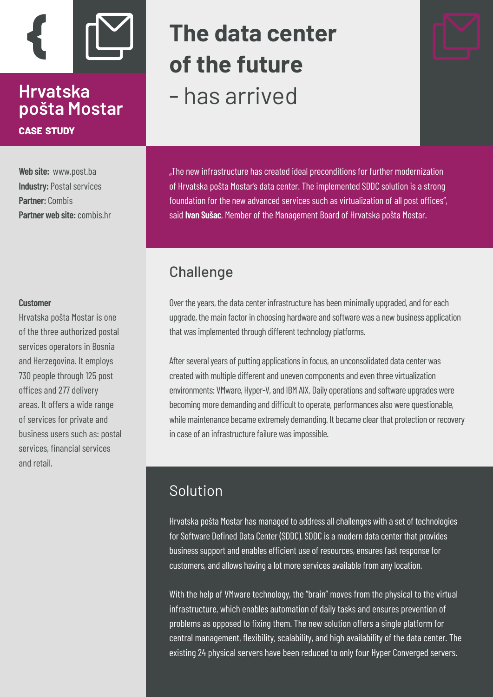

# **Hrvatska pošta Mostar case study**

**Web site:** www.post.ba **Industry: Postal services Partner:** Combis Partner web site: combis hr

#### **Customer**

Hrvatska pošta Mostar is one of the three authorized postal services operators in Bosnia and Herzegovina. It employs 730 people through 125 post offices and 277 delivery areas. It offers a wide range of services for private and business users such as: postal services, financial services and retail.

# **The data center of the future**  - has arrived

"The new infrastructure has created ideal preconditions for further modernization of Hrvatska pošta Mostar's data center. The implemented SDDC solution is a strong foundation for the new advanced services such as virtualization of all post offices", said **Ivan Sušac**, Member of the Management Board of Hrvatska pošta Mostar.

# **Challenge**

Over the years, the data center infrastructure has been minimally upgraded, and for each upgrade, the main factor in choosing hardware and software was a new business application that was implemented through different technology platforms.

After several years of putting applications in focus, an unconsolidated data center was created with multiple different and uneven components and even three virtualization environments: VMware, Hyper-V, and IBM AIX. Daily operations and software upgrades were becoming more demanding and difficult to operate, performances also were questionable, while maintenance became extremely demanding. It became clear that protection or recovery in case of an infrastructure failure was impossible.

## Solution

Hrvatska pošta Mostar has managed to address all challenges with a set of technologies for Software Defined Data Center (SDDC). SDDC is a modern data center that provides business support and enables efficient use of resources, ensures fast response for customers, and allows having a lot more services available from any location.

With the help of VMware technology, the "brain" moves from the physical to the virtual infrastructure, which enables automation of daily tasks and ensures prevention of problems as opposed to fixing them. The new solution offers a single platform for central management, flexibility, scalability, and high availability of the data center. The existing 24 physical servers have been reduced to only four Hyper Converged servers.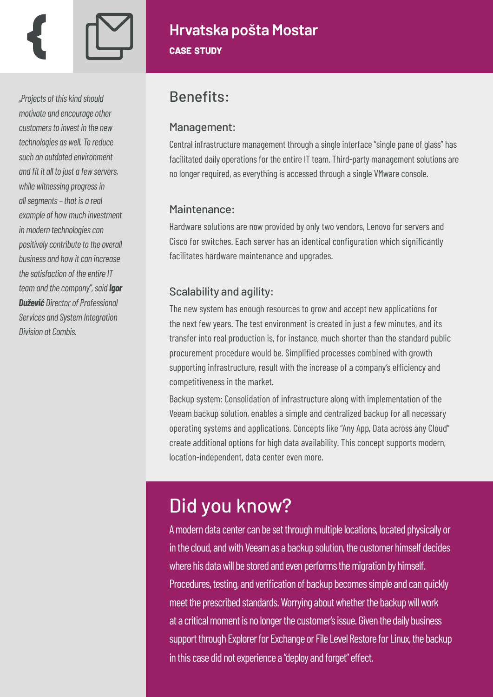*"Projects of this kind should motivate and encourage other customers to invest in the new technologies as well. To reduce such an outdated environment and fit it all to just a few servers, while witnessing progress in all segments – that is a real example of how much investment in modern technologies can positively contribute to the overall business and how it can increase the satisfaction of the entire IT team and the company", said Igor Dužević Director of Professional Services and System Integration Division at Combis.*

# **Hrvatska pošta Mostar case study**

# Benefits:

#### Management:

Central infrastructure management through a single interface "single pane of glass" has facilitated daily operations for the entire IT team. Third-party management solutions are no longer required, as everything is accessed through a single VMware console.

#### Maintenance:

Hardware solutions are now provided by only two vendors, Lenovo for servers and Cisco for switches. Each server has an identical configuration which significantly facilitates hardware maintenance and upgrades.

### Scalability and agility:

The new system has enough resources to grow and accept new applications for the next few years. The test environment is created in just a few minutes, and its transfer into real production is, for instance, much shorter than the standard public procurement procedure would be. Simplified processes combined with growth supporting infrastructure, result with the increase of a company's efficiency and competitiveness in the market.

Backup system: Consolidation of infrastructure along with implementation of the Veeam backup solution, enables a simple and centralized backup for all necessary operating systems and applications. Concepts like "Any App, Data across any Cloud" create additional options for high data availability. This concept supports modern, location-independent, data center even more.

# Did you know?

A modern data center can be set through multiple locations, located physically or in the cloud, and with Veeam as a backup solution, the customer himself decides where his data will be stored and even performs the migration by himself. Procedures, testing, and verification of backup becomes simple and can quickly meet the prescribed standards. Worrying about whether the backup will work at a critical moment is no longer the customer's issue. Given the daily business support through Explorer for Exchange or File Level Restore for Linux, the backup in this case did not experience a "deploy and forget" effect.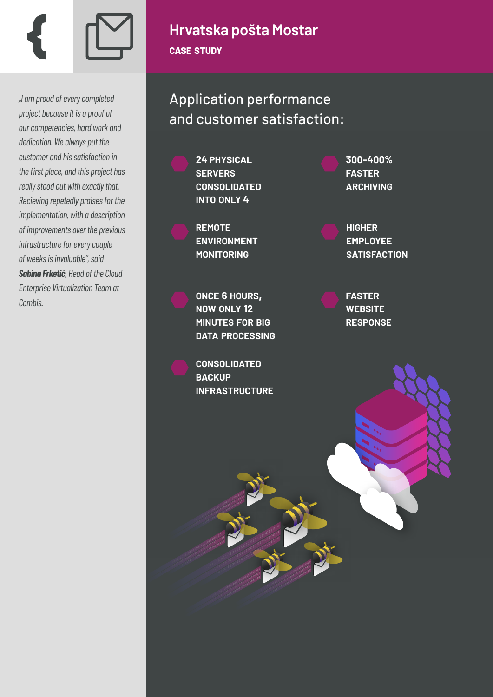

*"I am proud of every completed project because it is a proof of our competencies, hard work and dedication. We always put the customer and his satisfaction in the first place, and this project has really stood out with exactly that. Recieving repetedly praises for the implementation, with a description of improvements over the previous infrastructure for every couple of weeks is invaluable", said Sabina Frketić, Head of the Cloud Enterprise Virtualization Team at Combis.*

## **Hrvatska pošta Mostar case study**

Application performance and customer satisfaction:

> **24 PHYSICAL SERVERS CONSOLIDATED INTO ONLY 4**

**REMOTE ENVIRONMENT MONITORING**

**ONCE <sup>6</sup> HOURS, NOW ONLY <sup>12</sup> MINUTES FOR BIG DATA PROCESSING**

**CONSOLIDATED BACKUP INFRASTRUCTURE** **300-400% FASTER ARCHIVING**

**HIGHER EMPLOYEE SATISFACTION**

**FASTER WEBSITE RESPONSE**